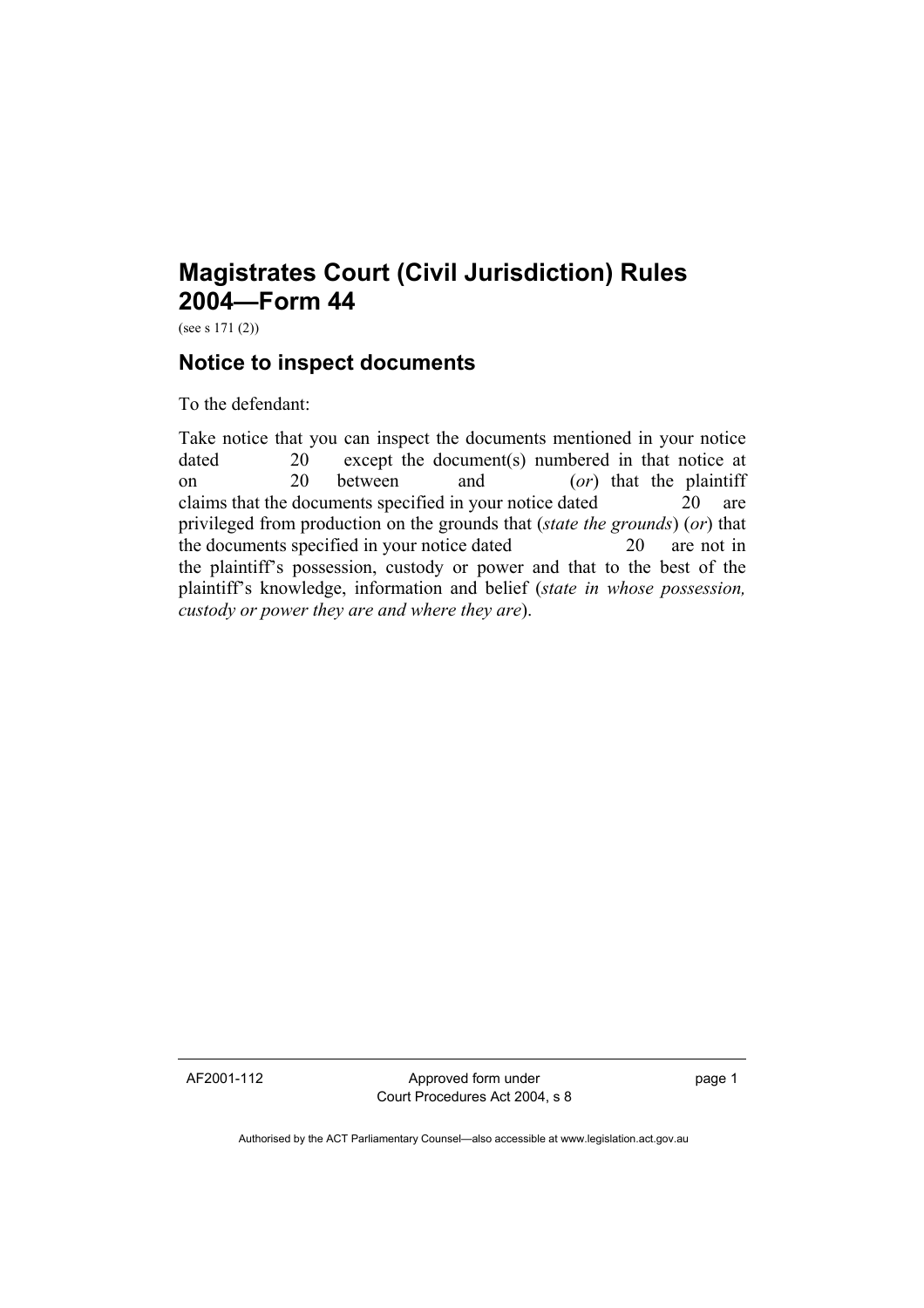## **Magistrates Court (Civil Jurisdiction) Rules 2004—Form 44**

(see s 171 (2))

## **Notice to inspect documents**

To the defendant:

Take notice that you can inspect the documents mentioned in your notice dated 20 except the document(s) numbered in that notice at on 20 between and (*or*) that the plaintiff claims that the documents specified in your notice dated 20 are privileged from production on the grounds that (*state the grounds*) (*or*) that the documents specified in your notice dated 20 are not in the plaintiff's possession, custody or power and that to the best of the plaintiff's knowledge, information and belief (*state in whose possession, custody or power they are and where they are*).

AF2001-112 Approved form under Court Procedures Act 2004, s 8 page 1

Authorised by the ACT Parliamentary Counsel—also accessible at www.legislation.act.gov.au